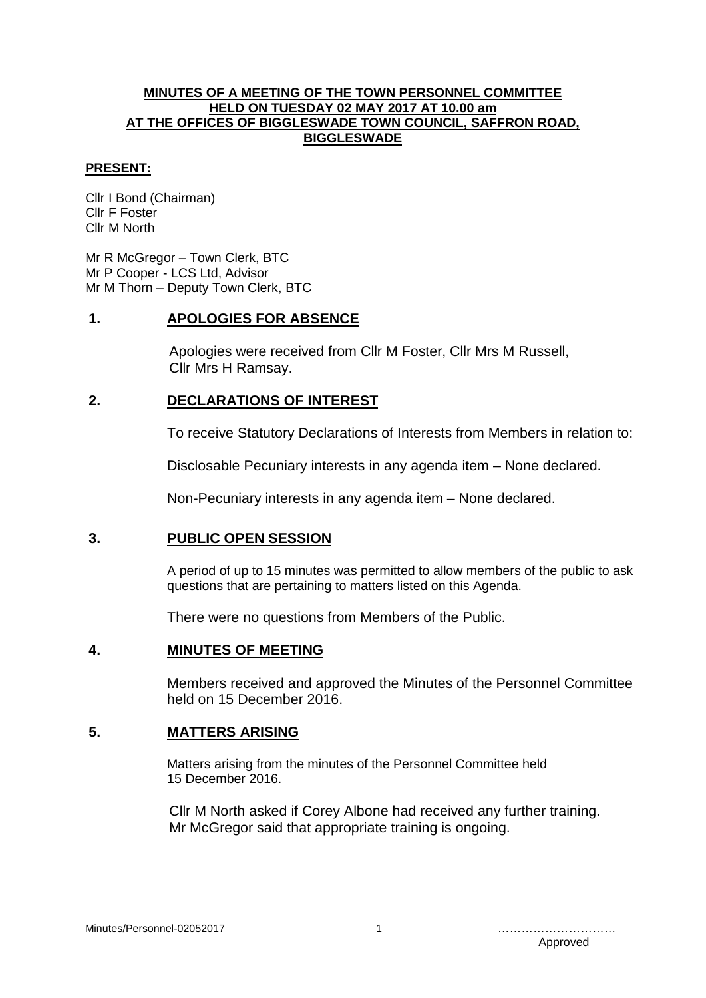#### **MINUTES OF A MEETING OF THE TOWN PERSONNEL COMMITTEE HELD ON TUESDAY 02 MAY 2017 AT 10.00 am AT THE OFFICES OF BIGGLESWADE TOWN COUNCIL, SAFFRON ROAD, BIGGLESWADE**

#### **PRESENT:**

Cllr I Bond (Chairman) Cllr F Foster Cllr M North

Mr R McGregor – Town Clerk, BTC Mr P Cooper - LCS Ltd, Advisor Mr M Thorn – Deputy Town Clerk, BTC

### **1. APOLOGIES FOR ABSENCE**

Apologies were received from Cllr M Foster, Cllr Mrs M Russell, Cllr Mrs H Ramsay.

### **2. DECLARATIONS OF INTEREST**

To receive Statutory Declarations of Interests from Members in relation to:

Disclosable Pecuniary interests in any agenda item – None declared.

Non-Pecuniary interests in any agenda item – None declared.

### **3. PUBLIC OPEN SESSION**

A period of up to 15 minutes was permitted to allow members of the public to ask questions that are pertaining to matters listed on this Agenda.

There were no questions from Members of the Public.

### **4. MINUTES OF MEETING**

Members received and approved the Minutes of the Personnel Committee held on 15 December 2016.

### **5. MATTERS ARISING**

Matters arising from the minutes of the Personnel Committee held 15 December 2016.

Cllr M North asked if Corey Albone had received any further training. Mr McGregor said that appropriate training is ongoing.